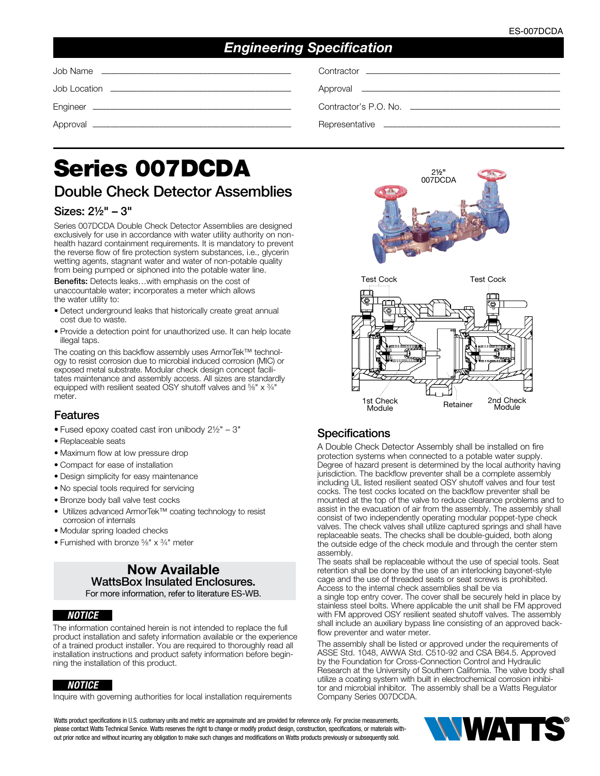# *Engineering Specification*

# Series 007DCDA

# Double Check Detector Assemblies

## Sizes: 2½" – 3"

Series 007DCDA Double Check Detector Assemblies are designed exclusively for use in accordance with water utility authority on nonhealth hazard containment requirements. It is mandatory to prevent the reverse flow of fire protection system substances, i.e., glycerin wetting agents, stagnant water and water of non-potable quality from being pumped or siphoned into the potable water line.

Benefits: Detects leaks…with emphasis on the cost of unaccountable water; incorporates a meter which allows the water utility to:

- Detect underground leaks that historically create great annual cost due to waste.
- Provide a detection point for unauthorized use. It can help locate illegal taps.

The coating on this backflow assembly uses ArmorTek™ technology to resist corrosion due to microbial induced corrosion (MIC) or exposed metal substrate. Modular check design concept facilitates maintenance and assembly access. All sizes are standardly equipped with resilient seated OSY shutoff valves and <sup>5</sup>/<sub>8</sub>" x <sup>3</sup>/<sub>4</sub>" meter.

#### Features

- Fused epoxy coated cast iron unibody 2½" 3"
- Replaceable seats
- Maximum flow at low pressure drop
- Compact for ease of installation
- Design simplicity for easy maintenance
- No special tools required for servicing
- Bronze body ball valve test cocks
- Utilizes advanced ArmorTek™ coating technology to resist corrosion of internals
- Modular spring loaded checks
- Furnished with bronze 5⁄8" x 3⁄4" meter

#### Now Available WattsBox Insulated Enclosures. For more information, refer to literature ES-WB.

#### *NOTICE*

The information contained herein is not intended to replace the full product installation and safety information available or the experience of a trained product installer. You are required to thoroughly read all installation instructions and product safety information before beginning the installation of this product.

#### *NOTICE*

Inquire with governing authorities for local installation requirements

Watts product specifications in U.S. customary units and metric are approximate and are provided for reference only. For precise measurements, please contact Watts Technical Service. Watts reserves the right to change or modify product design, construction, specifications, or materials without prior notice and without incurring any obligation to make such changes and modifications on Watts products previously or subsequently sold.





#### **Specifications**

A Double Check Detector Assembly shall be installed on fire protection systems when connected to a potable water supply. Degree of hazard present is determined by the local authority having jurisdiction. The backflow preventer shall be a complete assembly including UL listed resilient seated OSY shutoff valves and four test cocks. The test cocks located on the backflow preventer shall be mounted at the top of the valve to reduce clearance problems and to assist in the evacuation of air from the assembly. The assembly shall consist of two independently operating modular poppet-type check valves. The check valves shall utilize captured springs and shall have replaceable seats. The checks shall be double-guided, both along the outside edge of the check module and through the center stem assembly.

The seats shall be replaceable without the use of special tools. Seat retention shall be done by the use of an interlocking bayonet-style cage and the use of threaded seats or seat screws is prohibited. Access to the internal check assemblies shall be via

a single top entry cover. The cover shall be securely held in place by stainless steel bolts. Where applicable the unit shall be FM approved with FM approved OSY resilient seated shutoff valves. The assembly shall include an auxiliary bypass line consisting of an approved backflow preventer and water meter.

The assembly shall be listed or approved under the requirements of ASSE Std. 1048, AWWA Std. C510-92 and CSA B64.5. Approved by the Foundation for Cross-Connection Control and Hydraulic Research at the University of Southern California. The valve body shall utilize a coating system with built in electrochemical corrosion inhibitor and microbial inhibitor. The assembly shall be a Watts Regulator Company Series 007DCDA.